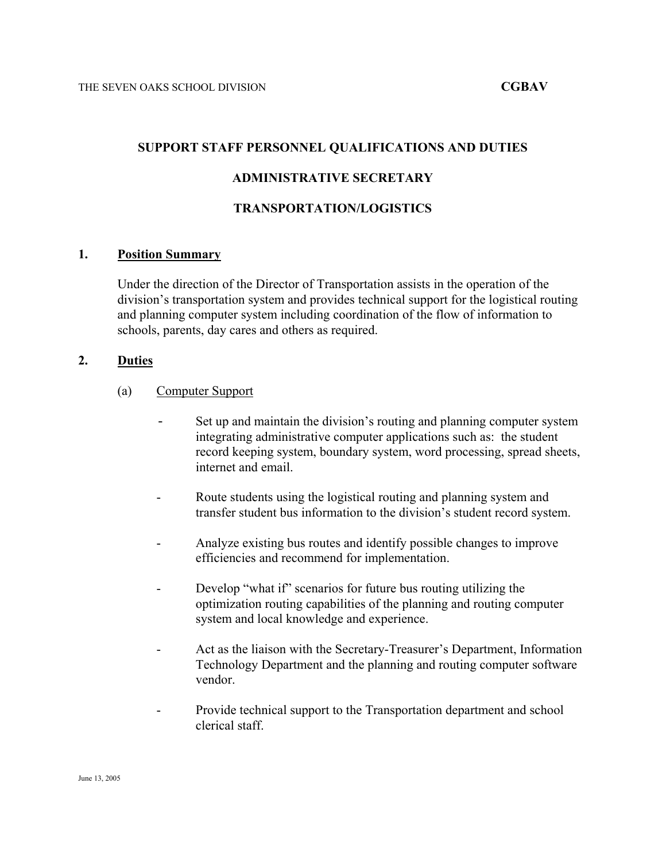# **SUPPORT STAFF PERSONNEL QUALIFICATIONS AND DUTIES**

# **ADMINISTRATIVE SECRETARY**

#### **TRANSPORTATION/LOGISTICS**

#### **1. Position Summary**

Under the direction of the Director of Transportation assists in the operation of the division's transportation system and provides technical support for the logistical routing and planning computer system including coordination of the flow of information to schools, parents, day cares and others as required.

# **2. Duties**

- (a) Computer Support
	- Set up and maintain the division's routing and planning computer system integrating administrative computer applications such as: the student record keeping system, boundary system, word processing, spread sheets, internet and email.
	- Route students using the logistical routing and planning system and transfer student bus information to the division's student record system.
	- Analyze existing bus routes and identify possible changes to improve efficiencies and recommend for implementation.
	- Develop "what if" scenarios for future bus routing utilizing the optimization routing capabilities of the planning and routing computer system and local knowledge and experience.
	- Act as the liaison with the Secretary-Treasurer's Department, Information Technology Department and the planning and routing computer software vendor.
	- Provide technical support to the Transportation department and school clerical staff.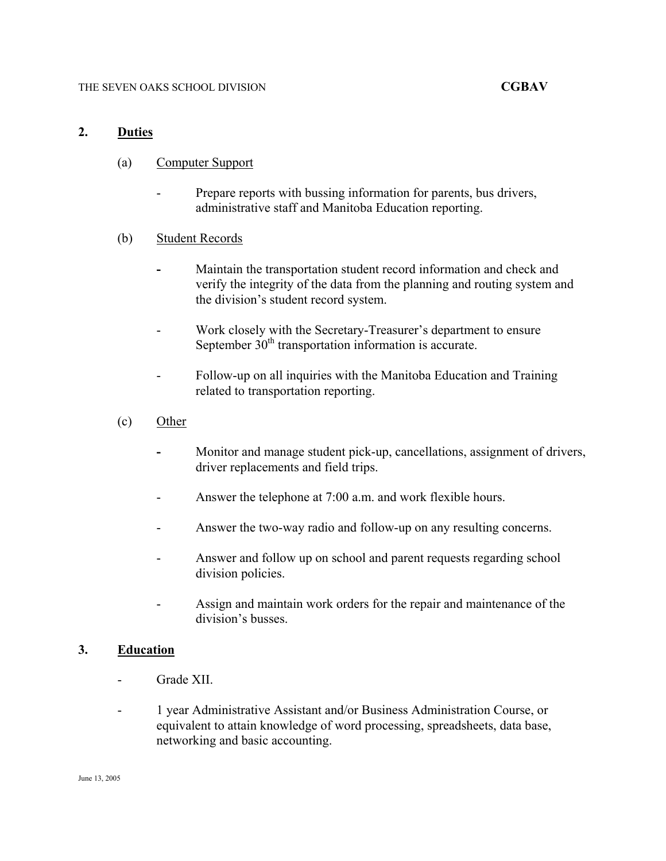# **2. Duties**

- (a) Computer Support
	- Prepare reports with bussing information for parents, bus drivers, administrative staff and Manitoba Education reporting.
- (b) Student Records
	- Maintain the transportation student record information and check and verify the integrity of the data from the planning and routing system and the division's student record system.
	- Work closely with the Secretary-Treasurer's department to ensure September  $30<sup>th</sup>$  transportation information is accurate.
	- Follow-up on all inquiries with the Manitoba Education and Training related to transportation reporting.
- (c) Other
	- **-** Monitor and manage student pick-up, cancellations, assignment of drivers, driver replacements and field trips.
	- Answer the telephone at 7:00 a.m. and work flexible hours.
	- Answer the two-way radio and follow-up on any resulting concerns.
	- Answer and follow up on school and parent requests regarding school division policies.
	- Assign and maintain work orders for the repair and maintenance of the division's busses.

# **3. Education**

- Grade XII.
- 1 year Administrative Assistant and/or Business Administration Course, or equivalent to attain knowledge of word processing, spreadsheets, data base, networking and basic accounting.